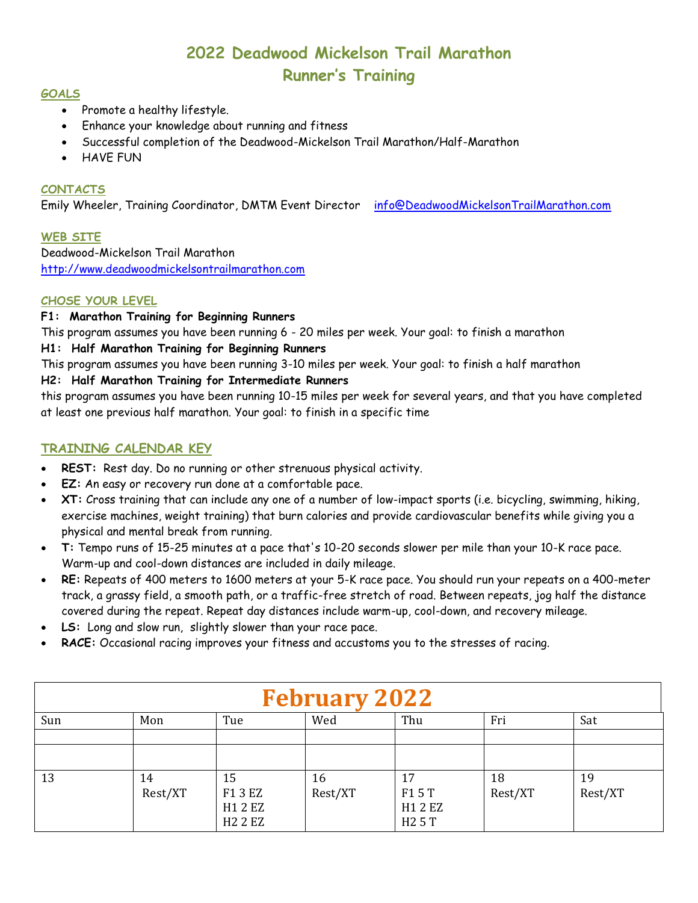# **2022 Deadwood Mickelson Trail Marathon Runner's Training**

#### **GOALS**

- Promote a healthy lifestyle.
- Enhance your knowledge about running and fitness
- Successful completion of the Deadwood-Mickelson Trail Marathon/Half-Marathon
- HAVE FUN

# **CONTACTS**

Emily Wheeler, Training Coordinator, DMTM Event Director [info@DeadwoodMickelsonTrailMarathon.com](mailto:info@DeadwoodMickelsonTrailMarathon.com)

#### **WEB SITE**

Deadwood-Mickelson Trail Marathon [http://www.deadwoodmickelsontrailmarathon.com](http://www.deadwoodmickelsontrailmarathon.com/)

#### **CHOSE YOUR LEVEL**

#### **F1: Marathon Training for Beginning Runners**

This program assumes you have been running 6 - 20 miles per week. Your goal: to finish a marathon

## **H1: Half Marathon Training for Beginning Runners**

This program assumes you have been running 3-10 miles per week. Your goal: to finish a half marathon

## **H2: Half Marathon Training for Intermediate Runners**

this program assumes you have been running 10-15 miles per week for several years, and that you have completed at least one previous half marathon. Your goal: to finish in a specific time

# **TRAINING CALENDAR KEY**

- **REST:** Rest day. Do no running or other strenuous physical activity.
- **EZ:** An easy or recovery run done at a comfortable pace.
- **XT:** Cross training that can include any one of a number of low-impact sports (i.e. bicycling, swimming, hiking, exercise machines, weight training) that burn calories and provide cardiovascular benefits while giving you a physical and mental break from running.
- **T:** Tempo runs of 15-25 minutes at a pace that's 10-20 seconds slower per mile than your 10-K race pace. Warm-up and cool-down distances are included in daily mileage.
- **RE:** Repeats of 400 meters to 1600 meters at your 5-K race pace. You should run your repeats on a 400-meter track, a grassy field, a smooth path, or a traffic-free stretch of road. Between repeats, jog half the distance covered during the repeat. Repeat day distances include warm-up, cool-down, and recovery mileage.
- **LS:** Long and slow run, slightly slower than your race pace.
- **RACE:** Occasional racing improves your fitness and accustoms you to the stresses of racing.

| <b>February 2022</b> |               |                                            |               |                                             |               |               |  |  |
|----------------------|---------------|--------------------------------------------|---------------|---------------------------------------------|---------------|---------------|--|--|
| Sun                  | Mon           | Tue                                        | Wed           | Thu                                         | Fri           | Sat           |  |  |
|                      |               |                                            |               |                                             |               |               |  |  |
| 13                   | 14<br>Rest/XT | 15<br>F1 3 EZ<br>H1 2 EZ<br><b>H2 2 EZ</b> | 16<br>Rest/XT | 17<br>F15T<br>H1 2 EZ<br>H <sub>2</sub> 5 T | 18<br>Rest/XT | 19<br>Rest/XT |  |  |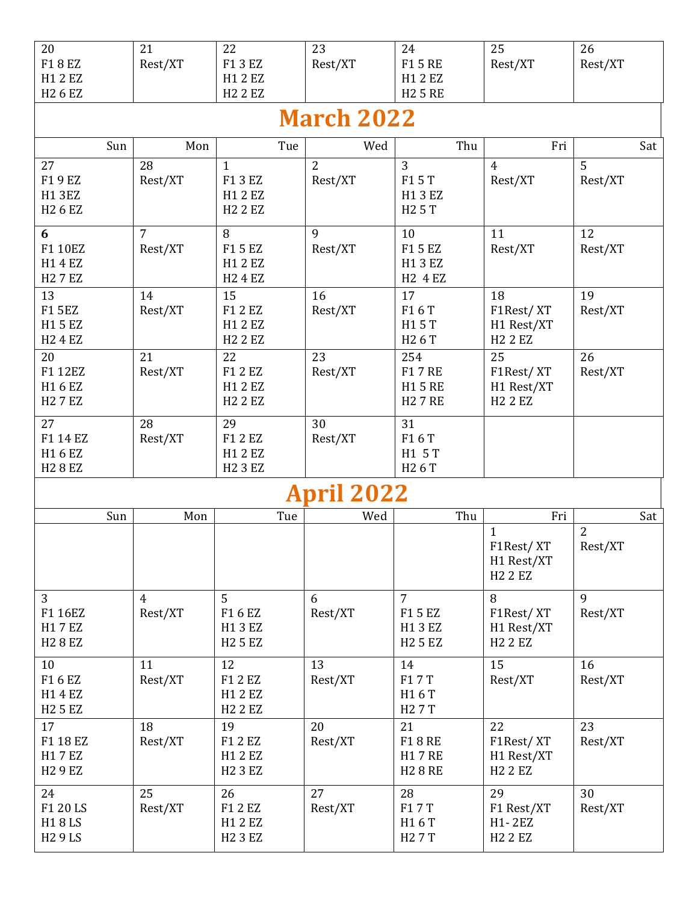| 20<br>F18EZ<br>H1 2 EZ<br>H <sub>2</sub> 6 E <sub>Z</sub>      | 21<br>Rest/XT             | 22<br>F1 3 EZ<br>H1 2 EZ<br><b>H2 2 EZ</b>           | 23<br>Rest/XT             | 24<br>F15RE<br>H1 2 EZ<br><b>H25 RE</b>                             | 25<br>Rest/XT                                   | 26<br>Rest/XT         |  |  |  |
|----------------------------------------------------------------|---------------------------|------------------------------------------------------|---------------------------|---------------------------------------------------------------------|-------------------------------------------------|-----------------------|--|--|--|
| <b>March 2022</b>                                              |                           |                                                      |                           |                                                                     |                                                 |                       |  |  |  |
| Sun                                                            | Mon                       | Tue                                                  | Wed                       | Thu                                                                 | Fri                                             | Sat                   |  |  |  |
| 27<br>F19EZ<br><b>H13EZ</b><br>H <sub>2</sub> 6 E <sub>Z</sub> | 28<br>Rest/XT             | $\mathbf{1}$<br>F1 3 EZ<br>H1 2 EZ<br><b>H2 2 EZ</b> | $\overline{2}$<br>Rest/XT | 3<br>F15T<br>H13EZ<br>H <sub>2</sub> 5 T                            | $\overline{4}$<br>Rest/XT                       | 5<br>Rest/XT          |  |  |  |
| 6<br>F1 10EZ<br>H14EZ<br><b>H27EZ</b>                          | $\overline{7}$<br>Rest/XT | 8<br>F15EZ<br>H1 2 EZ<br><b>H24EZ</b>                | 9<br>Rest/XT              | 10<br>F15EZ<br>H13EZ<br>H <sub>2</sub> 4 E <sub>Z</sub>             | 11<br>Rest/XT                                   | 12<br>Rest/XT         |  |  |  |
| 13<br><b>F15EZ</b><br>H15EZ<br><b>H2 4 EZ</b>                  | 14<br>Rest/XT             | 15<br>F1 2 EZ<br>H1 2 EZ<br><b>H2 2 EZ</b>           | 16<br>Rest/XT             | 17<br>F16T<br>H15T<br>H <sub>2</sub> 6 T                            | 18<br>F1Rest/XT<br>H1 Rest/XT<br><b>H2 2 EZ</b> | 19<br>Rest/XT         |  |  |  |
| 20<br>F1 12EZ<br>H16EZ<br><b>H27EZ</b>                         | 21<br>Rest/XT             | 22<br>F1 2 EZ<br>H1 2 EZ<br><b>H2 2 EZ</b>           | 23<br>Rest/XT             | 254<br><b>F17RE</b><br><b>H15 RE</b><br><b>H27RE</b>                | 25<br>F1Rest/XT<br>H1 Rest/XT<br><b>H2 2 EZ</b> | 26<br>Rest/XT         |  |  |  |
| 27<br>F1 14 EZ<br>H16EZ<br><b>H28EZ</b>                        | 28<br>Rest/XT             | 29<br>F1 2 EZ<br>H1 2 EZ<br><b>H2 3 EZ</b>           | 30<br>Rest/XT             | 31<br>F16T<br>H1 5 T<br>H <sub>2</sub> 6 T                          |                                                 |                       |  |  |  |
| <b>pril 2022</b>                                               |                           |                                                      |                           |                                                                     |                                                 |                       |  |  |  |
| Sun                                                            | Mon                       | Tue                                                  | Wed                       | Thu                                                                 | Fri<br>$\mathbf{1}$                             | Sat<br>$\overline{2}$ |  |  |  |
|                                                                |                           |                                                      |                           |                                                                     | F1Rest/XT<br>H1 Rest/XT<br><b>H2 2 EZ</b>       | Rest/XT               |  |  |  |
| $\overline{3}$<br>F1 16EZ<br>H17EZ<br><b>H28EZ</b>             | $\overline{4}$<br>Rest/XT | $\overline{5}$<br>F16EZ<br>H13EZ<br><b>H25EZ</b>     | 6<br>Rest/XT              | $\overline{7}$<br>F15EZ<br>H13EZ<br>H <sub>2</sub> 5 E <sub>Z</sub> | 8<br>F1Rest/XT<br>H1 Rest/XT<br><b>H2 2 EZ</b>  | 9<br>Rest/XT          |  |  |  |
| 10<br>F16EZ<br>H14EZ<br><b>H25EZ</b>                           | 11<br>Rest/XT             | 12<br>F1 2 EZ<br>H1 2 EZ<br><b>H22EZ</b>             | 13<br>Rest/XT             | 14<br>F17T<br>H16T<br>H <sub>2</sub> 7 T                            | 15<br>Rest/XT                                   | 16<br>Rest/XT         |  |  |  |
| 17<br>F1 18 EZ<br>H17EZ<br><b>H29EZ</b>                        | 18<br>Rest/XT             | 19<br>F1 2 EZ<br>H1 2 EZ<br><b>H23EZ</b>             | 20<br>Rest/XT             | 21<br><b>F18RE</b><br><b>H17RE</b><br><b>H28RE</b>                  | 22<br>F1Rest/XT<br>H1 Rest/XT<br><b>H2 2 EZ</b> | 23<br>Rest/XT         |  |  |  |
| 24<br>F1 20 LS<br>H18LS<br><b>H29LS</b>                        | 25<br>Rest/XT             | 26<br>F1 2 EZ<br>H1 2 EZ<br><b>H2 3 EZ</b>           | 27<br>Rest/XT             | 28<br>F17T<br>H16T<br>H <sub>2</sub> 7 T                            | 29<br>F1 Rest/XT<br>H1-2EZ<br><b>H2 2 EZ</b>    | 30<br>Rest/XT         |  |  |  |